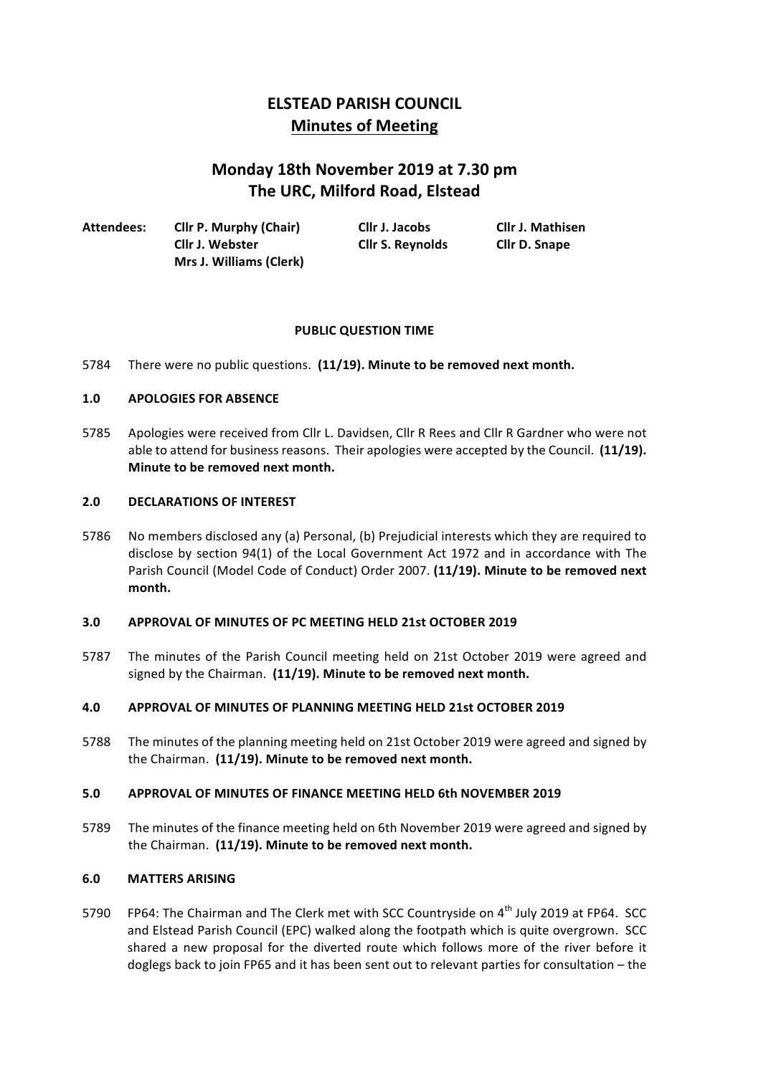# **ELSTEAD PARISH COUNCIL Minutes of Meeting**

# **Monday 18th November 2019 at 7.30 pm The URC, Milford Road, Elstead**

| Attendees: | <b>Cllr P. Murphy (Chair)</b>  | Cllr J. Jacobs          | <b>Cllr J. Mathisen</b> |
|------------|--------------------------------|-------------------------|-------------------------|
|            | Cllr J. Webster                | <b>Cllr S. Reynolds</b> | <b>Cllr D. Snape</b>    |
|            | <b>Mrs J. Williams (Clerk)</b> |                         |                         |

# **PUBLIC QUESTION TIME**

5784 There were no public questions. (11/19). Minute to be removed next month.

## **1.0 APOLOGIES FOR ABSENCE**

5785 Apologies were received from Cllr L. Davidsen, Cllr R Rees and Cllr R Gardner who were not able to attend for business reasons. Their apologies were accepted by the Council. (11/19). **Minute to be removed next month.** 

#### **2.0 DECLARATIONS OF INTEREST**

5786 No members disclosed any (a) Personal, (b) Prejudicial interests which they are required to disclose by section 94(1) of the Local Government Act 1972 and in accordance with The Parish Council (Model Code of Conduct) Order 2007. (11/19). Minute to be removed next **month.**

## **3.0 APPROVAL OF MINUTES OF PC MEETING HELD 21st OCTOBER 2019**

5787 The minutes of the Parish Council meeting held on 21st October 2019 were agreed and signed by the Chairman. (11/19). Minute to be removed next month.

# **4.0 APPROVAL OF MINUTES OF PLANNING MEETING HELD 21st OCTOBER 2019**

5788 The minutes of the planning meeting held on 21st October 2019 were agreed and signed by the Chairman. (11/19). Minute to be removed next month.

#### **5.0 APPROVAL OF MINUTES OF FINANCE MEETING HELD 6th NOVEMBER 2019**

5789 The minutes of the finance meeting held on 6th November 2019 were agreed and signed by the Chairman. (11/19). Minute to be removed next month.

#### **6.0 MATTERS ARISING**

5790 FP64: The Chairman and The Clerk met with SCC Countryside on 4<sup>th</sup> July 2019 at FP64. SCC and Elstead Parish Council (EPC) walked along the footpath which is quite overgrown. SCC shared a new proposal for the diverted route which follows more of the river before it doglegs back to join FP65 and it has been sent out to relevant parties for consultation - the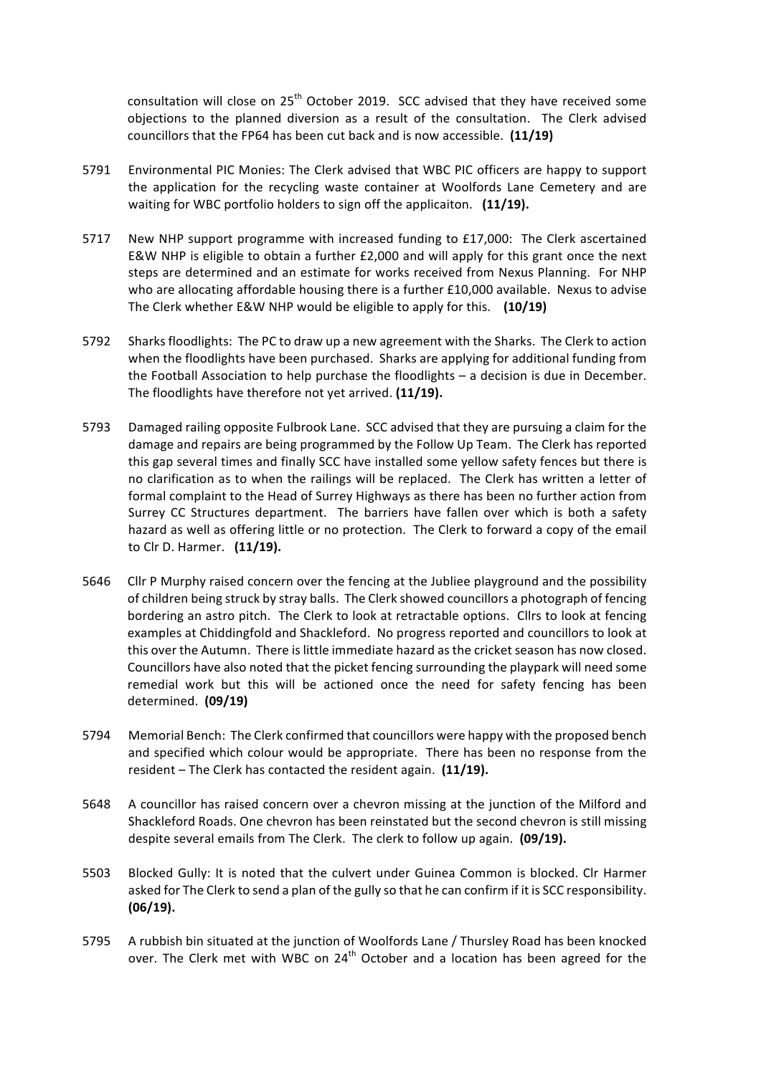consultation will close on  $25<sup>th</sup>$  October 2019. SCC advised that they have received some objections to the planned diversion as a result of the consultation. The Clerk advised councillors that the FP64 has been cut back and is now accessible. **(11/19)**

- 5791 Environmental PIC Monies: The Clerk advised that WBC PIC officers are happy to support the application for the recycling waste container at Woolfords Lane Cemetery and are waiting for WBC portfolio holders to sign off the applicaiton. (11/19).
- 5717 New NHP support programme with increased funding to £17,000: The Clerk ascertained E&W NHP is eligible to obtain a further  $£2,000$  and will apply for this grant once the next steps are determined and an estimate for works received from Nexus Planning. For NHP who are allocating affordable housing there is a further  $£10,000$  available. Nexus to advise The Clerk whether E&W NHP would be eligible to apply for this. (10/19)
- 5792 Sharks floodlights: The PC to draw up a new agreement with the Sharks. The Clerk to action when the floodlights have been purchased. Sharks are applying for additional funding from the Football Association to help purchase the floodlights  $-$  a decision is due in December. The floodlights have therefore not yet arrived. (11/19).
- 5793 Damaged railing opposite Fulbrook Lane. SCC advised that they are pursuing a claim for the damage and repairs are being programmed by the Follow Up Team. The Clerk has reported this gap several times and finally SCC have installed some yellow safety fences but there is no clarification as to when the railings will be replaced. The Clerk has written a letter of formal complaint to the Head of Surrey Highways as there has been no further action from Surrey CC Structures department. The barriers have fallen over which is both a safety hazard as well as offering little or no protection. The Clerk to forward a copy of the email to Clr D. Harmer. (11/19).
- 5646 Cllr P Murphy raised concern over the fencing at the Jubliee playground and the possibility of children being struck by stray balls. The Clerk showed councillors a photograph of fencing bordering an astro pitch. The Clerk to look at retractable options. Cllrs to look at fencing examples at Chiddingfold and Shackleford. No progress reported and councillors to look at this over the Autumn. There is little immediate hazard as the cricket season has now closed. Councillors have also noted that the picket fencing surrounding the playpark will need some remedial work but this will be actioned once the need for safety fencing has been determined. **(09/19)**
- 5794 Memorial Bench: The Clerk confirmed that councillors were happy with the proposed bench and specified which colour would be appropriate. There has been no response from the resident – The Clerk has contacted the resident again. (11/19).
- 5648 A councillor has raised concern over a chevron missing at the junction of the Milford and Shackleford Roads. One chevron has been reinstated but the second chevron is still missing despite several emails from The Clerk. The clerk to follow up again. (09/19).
- 5503 Blocked Gully: It is noted that the culvert under Guinea Common is blocked. Clr Harmer asked for The Clerk to send a plan of the gully so that he can confirm if it is SCC responsibility. **(06/19).**
- 5795 A rubbish bin situated at the junction of Woolfords Lane / Thursley Road has been knocked over. The Clerk met with WBC on  $24<sup>th</sup>$  October and a location has been agreed for the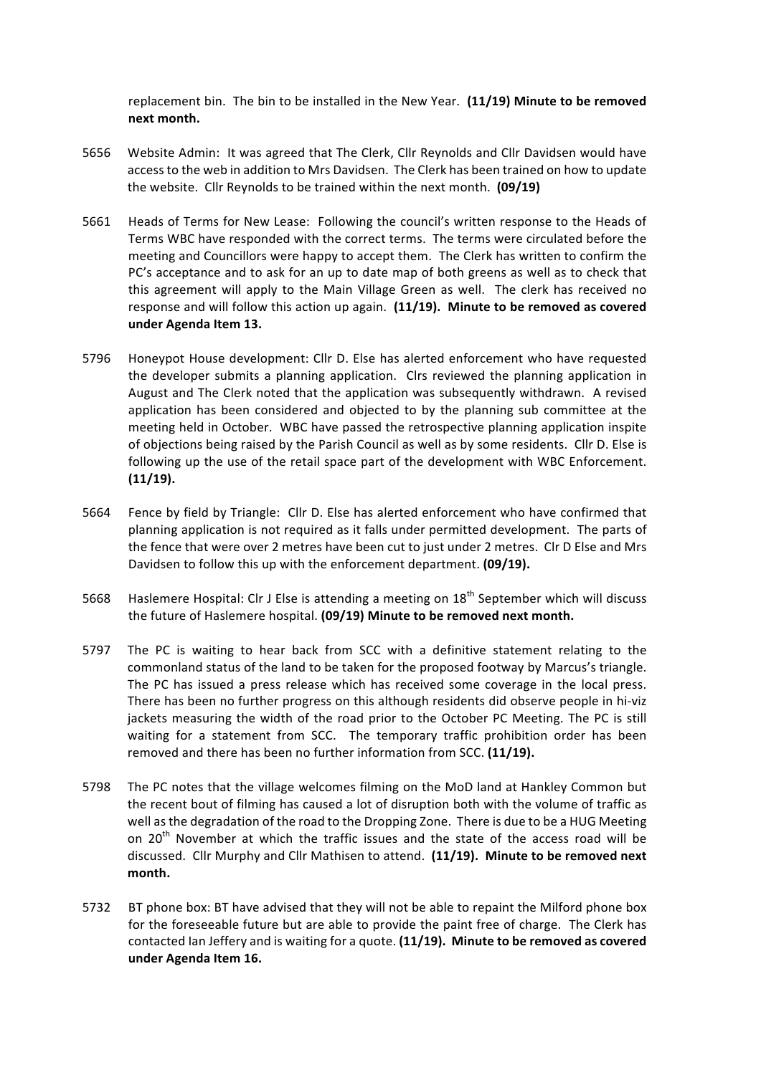replacement bin. The bin to be installed in the New Year. (11/19) Minute to be removed **next month.**

- 5656 Website Admin: It was agreed that The Clerk, Cllr Reynolds and Cllr Davidsen would have access to the web in addition to Mrs Davidsen. The Clerk has been trained on how to update the website. Cllr Reynolds to be trained within the next month. (09/19)
- 5661 Heads of Terms for New Lease: Following the council's written response to the Heads of Terms WBC have responded with the correct terms. The terms were circulated before the meeting and Councillors were happy to accept them. The Clerk has written to confirm the PC's acceptance and to ask for an up to date map of both greens as well as to check that this agreement will apply to the Main Village Green as well. The clerk has received no response and will follow this action up again. (11/19). Minute to be removed as covered **under Agenda Item 13.**
- 5796 Honeypot House development: Cllr D. Else has alerted enforcement who have requested the developer submits a planning application. Clrs reviewed the planning application in August and The Clerk noted that the application was subsequently withdrawn. A revised application has been considered and objected to by the planning sub committee at the meeting held in October. WBC have passed the retrospective planning application inspite of objections being raised by the Parish Council as well as by some residents. Cllr D. Else is following up the use of the retail space part of the development with WBC Enforcement. **(11/19).**
- 5664 Fence by field by Triangle: Cllr D. Else has alerted enforcement who have confirmed that planning application is not required as it falls under permitted development. The parts of the fence that were over 2 metres have been cut to just under 2 metres. Clr D Else and Mrs Davidsen to follow this up with the enforcement department. **(09/19).**
- 5668 Haslemere Hospital: Clr J Else is attending a meeting on 18<sup>th</sup> September which will discuss the future of Haslemere hospital. **(09/19) Minute to be removed next month.**
- 5797 The PC is waiting to hear back from SCC with a definitive statement relating to the commonland status of the land to be taken for the proposed footway by Marcus's triangle. The PC has issued a press release which has received some coverage in the local press. There has been no further progress on this although residents did observe people in hi-viz jackets measuring the width of the road prior to the October PC Meeting. The PC is still waiting for a statement from SCC. The temporary traffic prohibition order has been removed and there has been no further information from SCC. (11/19).
- 5798 The PC notes that the village welcomes filming on the MoD land at Hankley Common but the recent bout of filming has caused a lot of disruption both with the volume of traffic as well as the degradation of the road to the Dropping Zone. There is due to be a HUG Meeting on  $20^{th}$  November at which the traffic issues and the state of the access road will be discussed. Cllr Murphy and Cllr Mathisen to attend. (11/19). Minute to be removed next **month.**
- 5732 BT phone box: BT have advised that they will not be able to repaint the Milford phone box for the foreseeable future but are able to provide the paint free of charge. The Clerk has contacted lan Jeffery and is waiting for a quote. (11/19). Minute to be removed as covered **under Agenda Item 16.**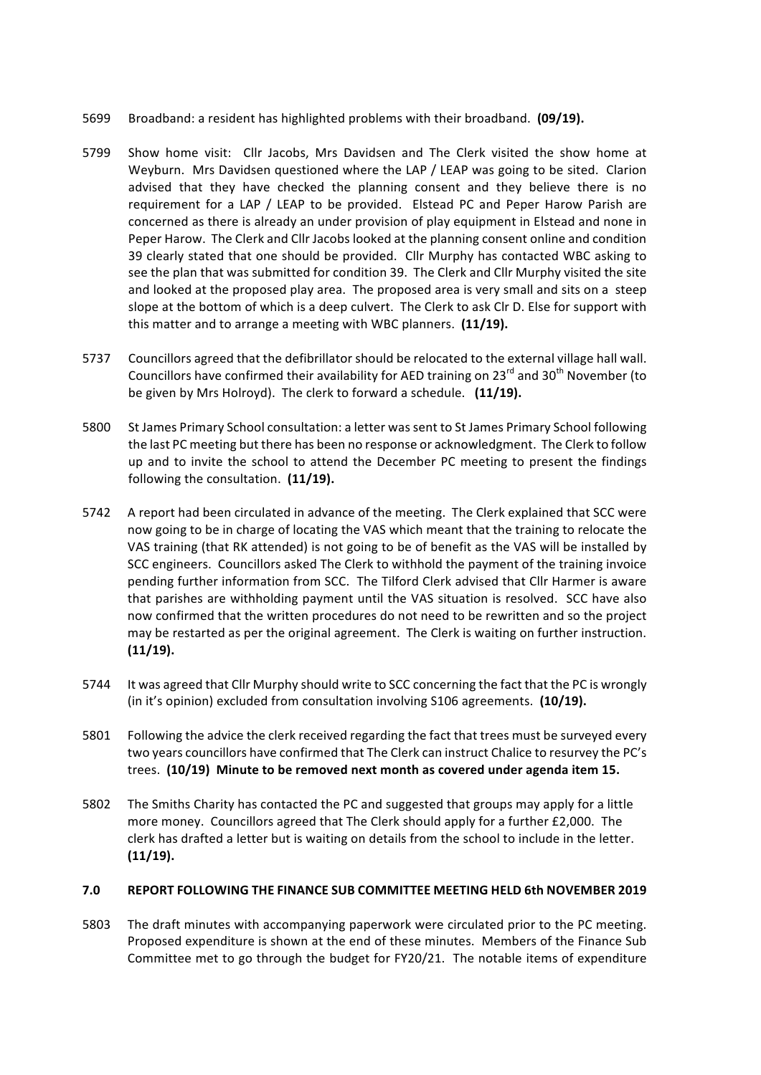- 5699 Broadband: a resident has highlighted problems with their broadband. (09/19).
- 5799 Show home visit: Cllr Jacobs, Mrs Davidsen and The Clerk visited the show home at Weyburn. Mrs Davidsen questioned where the LAP / LEAP was going to be sited. Clarion advised that they have checked the planning consent and they believe there is no requirement for a LAP / LEAP to be provided. Elstead PC and Peper Harow Parish are concerned as there is already an under provision of play equipment in Elstead and none in Peper Harow. The Clerk and Cllr Jacobs looked at the planning consent online and condition 39 clearly stated that one should be provided. Cllr Murphy has contacted WBC asking to see the plan that was submitted for condition 39. The Clerk and Cllr Murphy visited the site and looked at the proposed play area. The proposed area is very small and sits on a steep slope at the bottom of which is a deep culvert. The Clerk to ask Clr D. Else for support with this matter and to arrange a meeting with WBC planners. (11/19).
- 5737 Councillors agreed that the defibrillator should be relocated to the external village hall wall. Councillors have confirmed their availability for AED training on  $23<sup>rd</sup>$  and  $30<sup>th</sup>$  November (to be given by Mrs Holroyd). The clerk to forward a schedule. (11/19).
- 5800 St James Primary School consultation: a letter was sent to St James Primary School following the last PC meeting but there has been no response or acknowledgment. The Clerk to follow up and to invite the school to attend the December PC meeting to present the findings following the consultation. (11/19).
- 5742 A report had been circulated in advance of the meeting. The Clerk explained that SCC were now going to be in charge of locating the VAS which meant that the training to relocate the VAS training (that RK attended) is not going to be of benefit as the VAS will be installed by SCC engineers. Councillors asked The Clerk to withhold the payment of the training invoice pending further information from SCC. The Tilford Clerk advised that Cllr Harmer is aware that parishes are withholding payment until the VAS situation is resolved. SCC have also now confirmed that the written procedures do not need to be rewritten and so the project may be restarted as per the original agreement. The Clerk is waiting on further instruction. **(11/19).**
- 5744 It was agreed that Cllr Murphy should write to SCC concerning the fact that the PC is wrongly (in it's opinion) excluded from consultation involving S106 agreements. (10/19).
- 5801 Following the advice the clerk received regarding the fact that trees must be surveyed every two years councillors have confirmed that The Clerk can instruct Chalice to resurvey the PC's trees. (10/19) Minute to be removed next month as covered under agenda item 15.
- 5802 The Smiths Charity has contacted the PC and suggested that groups may apply for a little more money. Councillors agreed that The Clerk should apply for a further £2,000. The clerk has drafted a letter but is waiting on details from the school to include in the letter. **(11/19).**

# **7.0 REPORT FOLLOWING THE FINANCE SUB COMMITTEE MEETING HELD 6th NOVEMBER 2019**

5803 The draft minutes with accompanying paperwork were circulated prior to the PC meeting. Proposed expenditure is shown at the end of these minutes. Members of the Finance Sub Committee met to go through the budget for FY20/21. The notable items of expenditure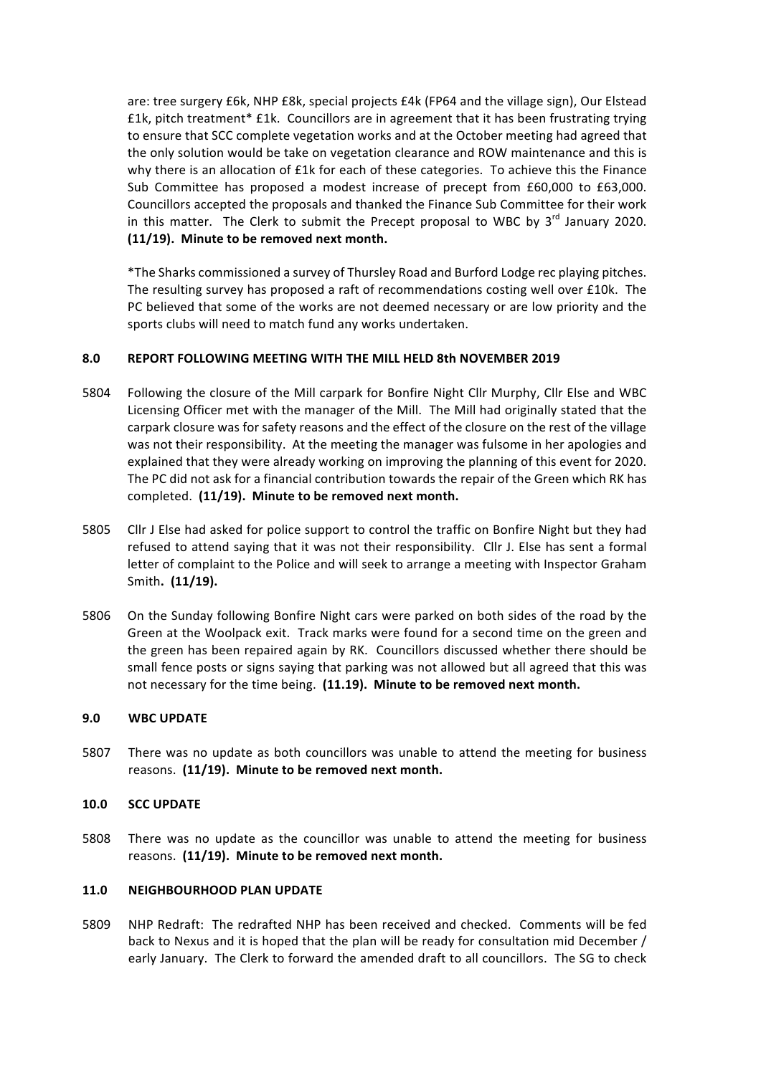are: tree surgery £6k, NHP £8k, special projects £4k (FP64 and the village sign), Our Elstead £1k, pitch treatment\* £1k. Councillors are in agreement that it has been frustrating trying to ensure that SCC complete vegetation works and at the October meeting had agreed that the only solution would be take on vegetation clearance and ROW maintenance and this is why there is an allocation of  $E1k$  for each of these categories. To achieve this the Finance Sub Committee has proposed a modest increase of precept from £60,000 to £63,000. Councillors accepted the proposals and thanked the Finance Sub Committee for their work in this matter. The Clerk to submit the Precept proposal to WBC by  $3^{rd}$  January 2020. **(11/19).** Minute to be removed next month.

\*The Sharks commissioned a survey of Thursley Road and Burford Lodge rec playing pitches. The resulting survey has proposed a raft of recommendations costing well over  $£10k$ . The PC believed that some of the works are not deemed necessary or are low priority and the sports clubs will need to match fund any works undertaken.

# **8.0 REPORT FOLLOWING MEETING WITH THE MILL HELD 8th NOVEMBER 2019**

- 5804 Following the closure of the Mill carpark for Bonfire Night Cllr Murphy, Cllr Else and WBC Licensing Officer met with the manager of the Mill. The Mill had originally stated that the carpark closure was for safety reasons and the effect of the closure on the rest of the village was not their responsibility. At the meeting the manager was fulsome in her apologies and explained that they were already working on improving the planning of this event for 2020. The PC did not ask for a financial contribution towards the repair of the Green which RK has completed. (11/19). Minute to be removed next month.
- 5805 Cllr J Else had asked for police support to control the traffic on Bonfire Night but they had refused to attend saying that it was not their responsibility. Cllr J. Else has sent a formal letter of complaint to the Police and will seek to arrange a meeting with Inspector Graham Smith. (11/19).
- 5806 On the Sunday following Bonfire Night cars were parked on both sides of the road by the Green at the Woolpack exit. Track marks were found for a second time on the green and the green has been repaired again by RK. Councillors discussed whether there should be small fence posts or signs saying that parking was not allowed but all agreed that this was not necessary for the time being. (11.19). Minute to be removed next month.

## **9.0 WBC UPDATE**

5807 There was no update as both councillors was unable to attend the meeting for business reasons. (11/19). Minute to be removed next month.

## **10.0 SCC UPDATE**

5808 There was no update as the councillor was unable to attend the meeting for business reasons. (11/19). Minute to be removed next month.

#### **11.0 NEIGHBOURHOOD PLAN UPDATE**

5809 NHP Redraft: The redrafted NHP has been received and checked. Comments will be fed back to Nexus and it is hoped that the plan will be ready for consultation mid December / early January. The Clerk to forward the amended draft to all councillors. The SG to check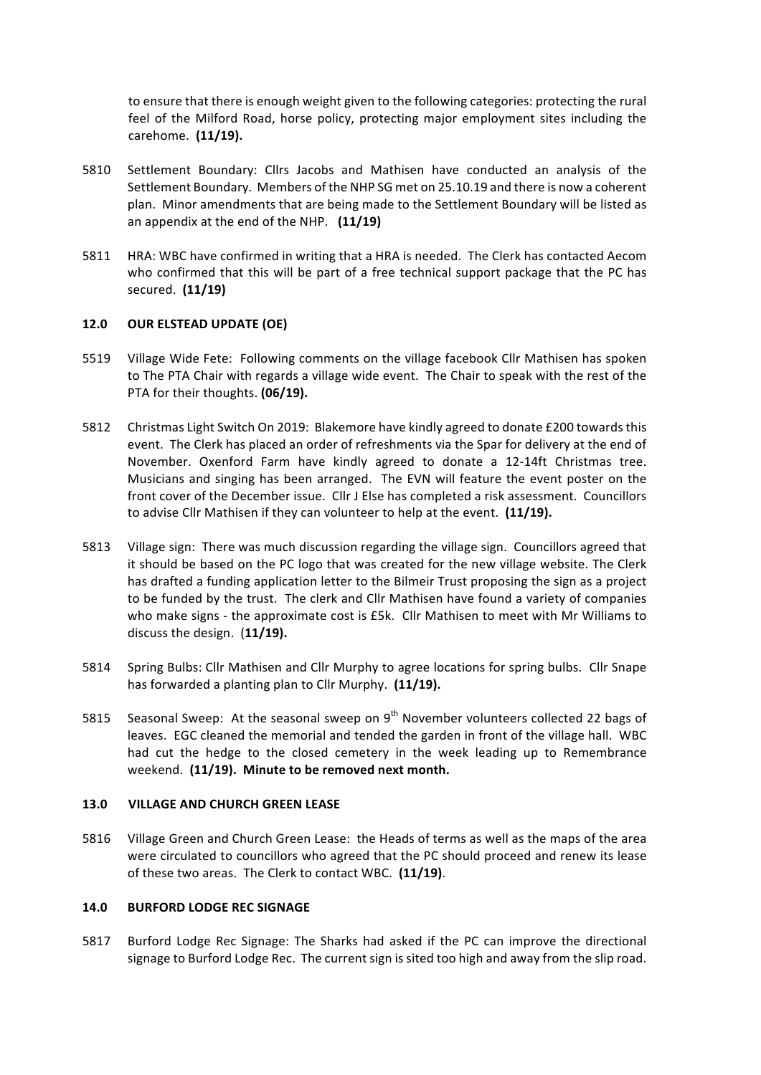to ensure that there is enough weight given to the following categories: protecting the rural feel of the Milford Road, horse policy, protecting major employment sites including the carehome. **(11/19).**

- 5810 Settlement Boundary: Cllrs Jacobs and Mathisen have conducted an analysis of the Settlement Boundary. Members of the NHP SG met on 25.10.19 and there is now a coherent plan. Minor amendments that are being made to the Settlement Boundary will be listed as an appendix at the end of the NHP. (11/19)
- 5811 HRA: WBC have confirmed in writing that a HRA is needed. The Clerk has contacted Aecom who confirmed that this will be part of a free technical support package that the PC has secured. **(11/19)**

## **12.0 OUR ELSTEAD UPDATE (OE)**

- 5519 Village Wide Fete: Following comments on the village facebook Cllr Mathisen has spoken to The PTA Chair with regards a village wide event. The Chair to speak with the rest of the PTA for their thoughts. **(06/19).**
- 5812 Christmas Light Switch On 2019: Blakemore have kindly agreed to donate £200 towards this event. The Clerk has placed an order of refreshments via the Spar for delivery at the end of November. Oxenford Farm have kindly agreed to donate a 12-14ft Christmas tree. Musicians and singing has been arranged. The EVN will feature the event poster on the front cover of the December issue. Cllr J Else has completed a risk assessment. Councillors to advise Cllr Mathisen if they can volunteer to help at the event. (11/19).
- 5813 Village sign: There was much discussion regarding the village sign. Councillors agreed that it should be based on the PC logo that was created for the new village website. The Clerk has drafted a funding application letter to the Bilmeir Trust proposing the sign as a project to be funded by the trust. The clerk and Cllr Mathisen have found a variety of companies who make signs - the approximate cost is £5k. Cllr Mathisen to meet with Mr Williams to discuss the design. (11/19).
- 5814 Spring Bulbs: Cllr Mathisen and Cllr Murphy to agree locations for spring bulbs. Cllr Snape has forwarded a planting plan to Cllr Murphy. (11/19).
- 5815 Seasonal Sweep: At the seasonal sweep on  $9<sup>th</sup>$  November volunteers collected 22 bags of leaves. EGC cleaned the memorial and tended the garden in front of the village hall. WBC had cut the hedge to the closed cemetery in the week leading up to Remembrance weekend. (11/19). Minute to be removed next month.

## **13.0 VILLAGE AND CHURCH GREEN LEASE**

5816 Village Green and Church Green Lease: the Heads of terms as well as the maps of the area were circulated to councillors who agreed that the PC should proceed and renew its lease of these two areas. The Clerk to contact WBC. (11/19).

#### **14.0 BURFORD LODGE REC SIGNAGE**

5817 Burford Lodge Rec Signage: The Sharks had asked if the PC can improve the directional signage to Burford Lodge Rec. The current sign is sited too high and away from the slip road.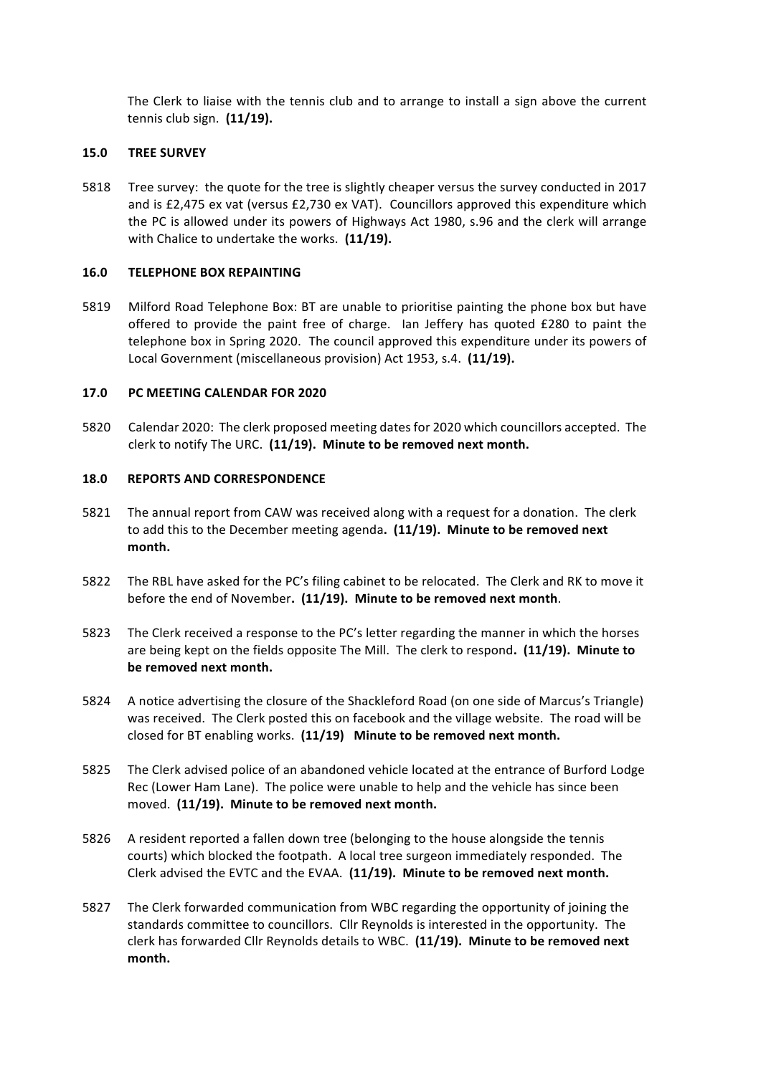The Clerk to liaise with the tennis club and to arrange to install a sign above the current tennis club sign. **(11/19).**

## **15.0 TREE SURVEY**

5818 Tree survey: the quote for the tree is slightly cheaper versus the survey conducted in 2017 and is £2,475 ex vat (versus £2,730 ex VAT). Councillors approved this expenditure which the PC is allowed under its powers of Highways Act 1980, s.96 and the clerk will arrange with Chalice to undertake the works. (11/19).

## **16.0 TELEPHONE BOX REPAINTING**

5819 Milford Road Telephone Box: BT are unable to prioritise painting the phone box but have offered to provide the paint free of charge. Ian Jeffery has quoted £280 to paint the telephone box in Spring 2020. The council approved this expenditure under its powers of Local Government (miscellaneous provision) Act 1953, s.4. (11/19).

## **17.0 PC MEETING CALENDAR FOR 2020**

5820 Calendar 2020: The clerk proposed meeting dates for 2020 which councillors accepted. The clerk to notify The URC. (11/19). Minute to be removed next month.

## 18.0 **REPORTS AND CORRESPONDENCE**

- 5821 The annual report from CAW was received along with a request for a donation. The clerk to add this to the December meeting agenda. (11/19). Minute to be removed next **month.**
- 5822 The RBL have asked for the PC's filing cabinet to be relocated. The Clerk and RK to move it before the end of November. (11/19). Minute to be removed next month.
- 5823 The Clerk received a response to the PC's letter regarding the manner in which the horses are being kept on the fields opposite The Mill. The clerk to respond. (11/19). Minute to be removed next month.
- 5824 A notice advertising the closure of the Shackleford Road (on one side of Marcus's Triangle) was received. The Clerk posted this on facebook and the village website. The road will be closed for BT enabling works. (11/19) Minute to be removed next month.
- 5825 The Clerk advised police of an abandoned vehicle located at the entrance of Burford Lodge Rec (Lower Ham Lane). The police were unable to help and the vehicle has since been moved. (11/19). Minute to be removed next month.
- 5826 A resident reported a fallen down tree (belonging to the house alongside the tennis courts) which blocked the footpath. A local tree surgeon immediately responded. The Clerk advised the EVTC and the EVAA. (11/19). Minute to be removed next month.
- 5827 The Clerk forwarded communication from WBC regarding the opportunity of joining the standards committee to councillors. Cllr Reynolds is interested in the opportunity. The clerk has forwarded Cllr Reynolds details to WBC. (11/19). Minute to be removed next **month.**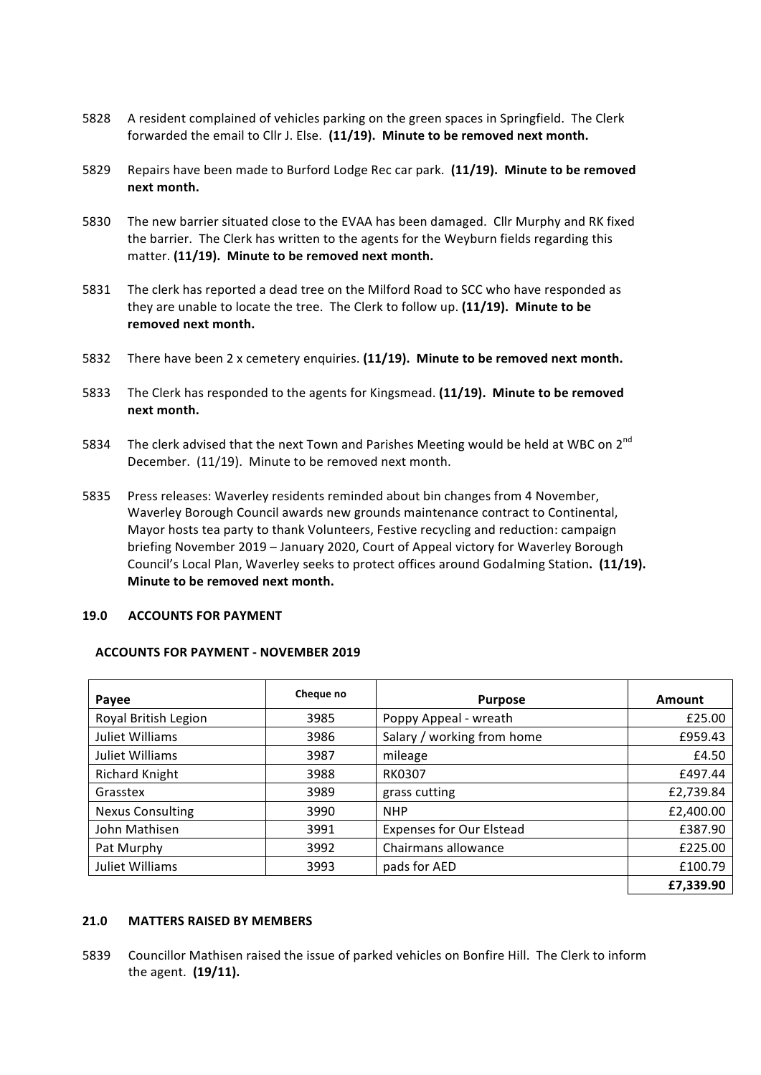- 5828 A resident complained of vehicles parking on the green spaces in Springfield. The Clerk forwarded the email to Cllr J. Else. (11/19). Minute to be removed next month.
- 5829 Repairs have been made to Burford Lodge Rec car park. (11/19). Minute to be removed **next month.**
- 5830 The new barrier situated close to the EVAA has been damaged. Cllr Murphy and RK fixed the barrier. The Clerk has written to the agents for the Weyburn fields regarding this matter. (11/19). Minute to be removed next month.
- 5831 The clerk has reported a dead tree on the Milford Road to SCC who have responded as they are unable to locate the tree. The Clerk to follow up. (11/19). Minute to be removed next month.
- 5832 There have been 2 x cemetery enquiries. (11/19). Minute to be removed next month.
- 5833 The Clerk has responded to the agents for Kingsmead. (11/19). Minute to be removed **next month.**
- 5834 The clerk advised that the next Town and Parishes Meeting would be held at WBC on 2<sup>nd</sup> December. (11/19). Minute to be removed next month.
- 5835 Press releases: Waverley residents reminded about bin changes from 4 November, Waverley Borough Council awards new grounds maintenance contract to Continental, Mayor hosts tea party to thank Volunteers, Festive recycling and reduction: campaign briefing November 2019 - January 2020, Court of Appeal victory for Waverley Borough Council's Local Plan, Waverley seeks to protect offices around Godalming Station. (11/19). **Minute to be removed next month.**

#### **19.0 ACCOUNTS FOR PAYMENT**

#### **ACCOUNTS FOR PAYMENT - NOVEMBER 2019**

| <b>Payee</b>            | Cheque no | <b>Purpose</b>                  | Amount    |
|-------------------------|-----------|---------------------------------|-----------|
| Royal British Legion    | 3985      | Poppy Appeal - wreath           | £25.00    |
| Juliet Williams         | 3986      | Salary / working from home      | £959.43   |
| Juliet Williams         | 3987      | mileage                         | £4.50     |
| <b>Richard Knight</b>   | 3988      | <b>RK0307</b>                   | £497.44   |
| Grasstex                | 3989      | grass cutting                   | £2,739.84 |
| <b>Nexus Consulting</b> | 3990      | <b>NHP</b>                      | £2,400.00 |
| John Mathisen           | 3991      | <b>Expenses for Our Elstead</b> | £387.90   |
| Pat Murphy              | 3992      | Chairmans allowance             | £225.00   |
| Juliet Williams         | 3993      | pads for AED                    | £100.79   |
|                         |           |                                 | £7,339.90 |

# **21.0 MATTERS RAISED BY MEMBERS**

5839 Councillor Mathisen raised the issue of parked vehicles on Bonfire Hill. The Clerk to inform the agent. (19/11).